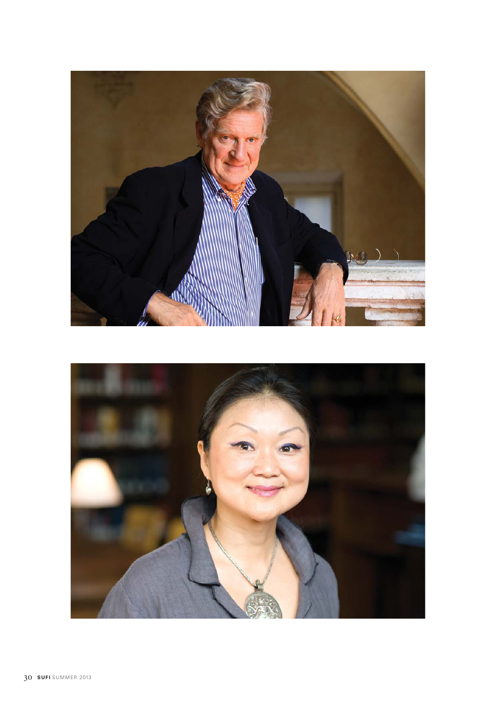

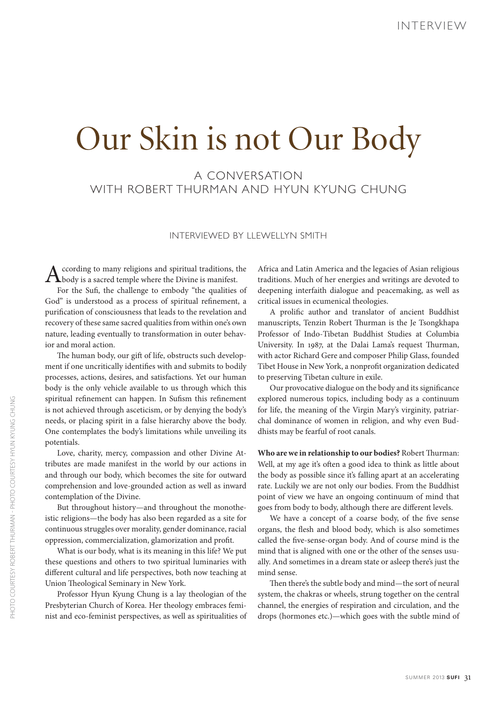## Our Skin is not Our Body

A CONVERSATION WITH ROBERT THURMAN AND HYUN KYUNG CHUNG

## INTERVIEWED BY LLEWELLYN SMITH

According to many religions and spiritual traditions, the body is a sacred temple where the Divine is manifest.

For the Sufi, the challenge to embody "the qualities of God" is understood as a process of spiritual refinement, a purification of consciousness that leads to the revelation and recovery of these same sacred qualities from within one's own nature, leading eventually to transformation in outer behavior and moral action.

The human body, our gift of life, obstructs such development if one uncritically identifies with and submits to bodily processes, actions, desires, and satisfactions. Yet our human body is the only vehicle available to us through which this spiritual refinement can happen. In Sufism this refinement is not achieved through asceticism, or by denying the body's needs, or placing spirit in a false hierarchy above the body. One contemplates the body's limitations while unveiling its potentials.

Love, charity, mercy, compassion and other Divine Attributes are made manifest in the world by our actions in and through our body, which becomes the site for outward comprehension and love-grounded action as well as inward contemplation of the Divine.

But throughout history—and throughout the monotheistic religions—the body has also been regarded as a site for continuous struggles over morality, gender dominance, racial oppression, commercialization, glamorization and profit.

What is our body, what is its meaning in this life? We put these questions and others to two spiritual luminaries with different cultural and life perspectives, both now teaching at Union Theological Seminary in New York.

Professor Hyun Kyung Chung is a lay theologian of the Presbyterian Church of Korea. Her theology embraces feminist and eco-feminist perspectives, as well as spiritualities of

Africa and Latin America and the legacies of Asian religious traditions. Much of her energies and writings are devoted to deepening interfaith dialogue and peacemaking, as well as critical issues in ecumenical theologies.

A prolific author and translator of ancient Buddhist manuscripts, Tenzin Robert Thurman is the Je Tsongkhapa Professor of Indo-Tibetan Buddhist Studies at Columbia University. In 1987, at the Dalai Lama's request Thurman, with actor Richard Gere and composer Philip Glass, founded Tibet House in New York, a nonprofit organization dedicated to preserving Tibetan culture in exile.

Our provocative dialogue on the body and its significance explored numerous topics, including body as a continuum for life, the meaning of the Virgin Mary's virginity, patriarchal dominance of women in religion, and why even Buddhists may be fearful of root canals.

**Who are we in relationship to our bodies?** Robert Thurman: Well, at my age it's often a good idea to think as little about the body as possible since it's falling apart at an accelerating rate. Luckily we are not only our bodies. From the Buddhist point of view we have an ongoing continuum of mind that goes from body to body, although there are different levels.

We have a concept of a coarse body, of the five sense organs, the flesh and blood body, which is also sometimes called the five-sense-organ body. And of course mind is the mind that is aligned with one or the other of the senses usually. And sometimes in a dream state or asleep there's just the mind sense.

Then there's the subtle body and mind—the sort of neural system, the chakras or wheels, strung together on the central channel, the energies of respiration and circulation, and the drops (hormones etc.)—which goes with the subtle mind of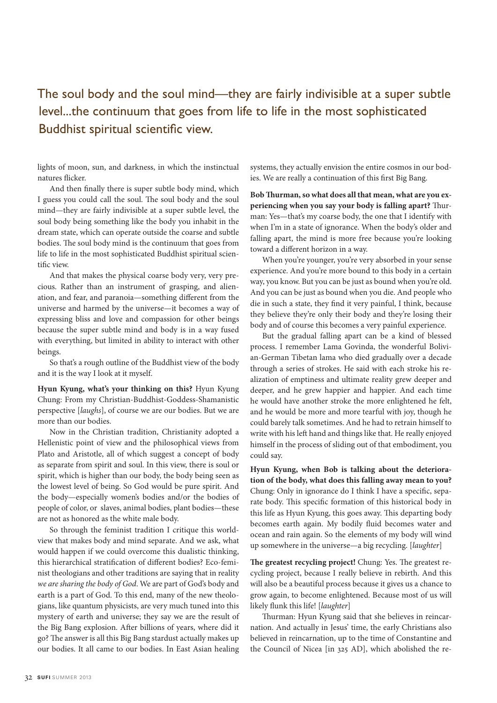## The soul body and the soul mind—they are fairly indivisible at a super subtle level...the continuum that goes from life to life in the most sophisticated Buddhist spiritual scientific view.

lights of moon, sun, and darkness, in which the instinctual natures flicker.

And then finally there is super subtle body mind, which I guess you could call the soul. The soul body and the soul mind—they are fairly indivisible at a super subtle level, the soul body being something like the body you inhabit in the dream state, which can operate outside the coarse and subtle bodies. The soul body mind is the continuum that goes from life to life in the most sophisticated Buddhist spiritual scientific view.

And that makes the physical coarse body very, very precious. Rather than an instrument of grasping, and alienation, and fear, and paranoia—something different from the universe and harmed by the universe—it becomes a way of expressing bliss and love and compassion for other beings because the super subtle mind and body is in a way fused with everything, but limited in ability to interact with other beings.

So that's a rough outline of the Buddhist view of the body and it is the way I look at it myself.

**Hyun Kyung, what's your thinking on this?** Hyun Kyung Chung: From my Christian-Buddhist-Goddess-Shamanistic perspective [*laughs*], of course we are our bodies. But we are more than our bodies.

Now in the Christian tradition, Christianity adopted a Hellenistic point of view and the philosophical views from Plato and Aristotle, all of which suggest a concept of body as separate from spirit and soul. In this view, there is soul or spirit, which is higher than our body, the body being seen as the lowest level of being. So God would be pure spirit. And the body—especially women's bodies and/or the bodies of people of color, or slaves, animal bodies, plant bodies—these are not as honored as the white male body.

So through the feminist tradition I critique this worldview that makes body and mind separate. And we ask, what would happen if we could overcome this dualistic thinking, this hierarchical stratification of different bodies? Eco-feminist theologians and other traditions are saying that in reality *we are sharing the body of God*. We are part of God's body and earth is a part of God. To this end, many of the new theologians, like quantum physicists, are very much tuned into this mystery of earth and universe; they say we are the result of the Big Bang explosion. After billions of years, where did it go? The answer is all this Big Bang stardust actually makes up our bodies. It all came to our bodies. In East Asian healing systems, they actually envision the entire cosmos in our bodies. We are really a continuation of this first Big Bang.

Bob Thurman, so what does all that mean, what are you ex**periencing when you say your body is falling apart?** Thurman: Yes—that's my coarse body, the one that I identify with when I'm in a state of ignorance. When the body's older and falling apart, the mind is more free because you're looking toward a different horizon in a way.

When you're younger, you're very absorbed in your sense experience. And you're more bound to this body in a certain way, you know. But you can be just as bound when you're old. And you can be just as bound when you die. And people who die in such a state, they find it very painful, I think, because they believe they're only their body and they're losing their body and of course this becomes a very painful experience.

But the gradual falling apart can be a kind of blessed process. I remember Lama Govinda, the wonderful Bolivian-German Tibetan lama who died gradually over a decade through a series of strokes. He said with each stroke his realization of emptiness and ultimate reality grew deeper and deeper, and he grew happier and happier. And each time he would have another stroke the more enlightened he felt, and he would be more and more tearful with joy, though he could barely talk sometimes. And he had to retrain himself to write with his left hand and things like that. He really enjoyed himself in the process of sliding out of that embodiment, you could say.

**Hyun Kyung, when Bob is talking about the deterioration of the body, what does this falling away mean to you?**  Chung: Only in ignorance do I think I have a specific, separate body. This specific formation of this historical body in this life as Hyun Kyung, this goes away. This departing body becomes earth again. My bodily fluid becomes water and ocean and rain again. So the elements of my body will wind up somewhere in the universe—a big recycling. [*laughter*]

The greatest recycling project! Chung: Yes. The greatest recycling project, because I really believe in rebirth. And this will also be a beautiful process because it gives us a chance to grow again, to become enlightened. Because most of us will likely flunk this life! [*laughter*]

Thurman: Hyun Kyung said that she believes in reincarnation. And actually in Jesus' time, the early Christians also believed in reincarnation, up to the time of Constantine and the Council of Nicea [in 325 AD], which abolished the re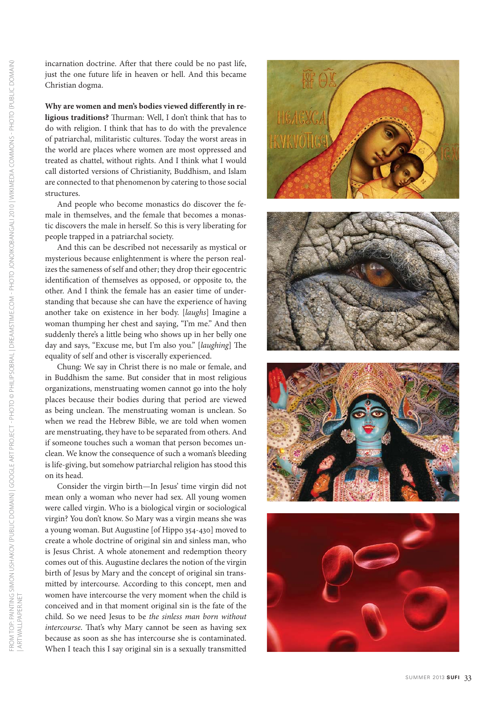incarnation doctrine. After that there could be no past life, just the one future life in heaven or hell. And this became Christian dogma.

Why are women and men's bodies viewed differently in religious traditions? Thurman: Well, I don't think that has to do with religion. I think that has to do with the prevalence of patriarchal, militaristic cultures. Today the worst areas in the world are places where women are most oppressed and treated as chattel, without rights. And I think what I would call distorted versions of Christianity, Buddhism, and Islam are connected to that phenomenon by catering to those social structures.

And people who become monastics do discover the female in themselves, and the female that becomes a monastic discovers the male in herself. So this is very liberating for people trapped in a patriarchal society.

And this can be described not necessarily as mystical or mysterious because enlightenment is where the person realizes the sameness of self and other; they drop their egocentric identification of themselves as opposed, or opposite to, the other. And I think the female has an easier time of understanding that because she can have the experience of having another take on existence in her body. [*laughs*] Imagine a woman thumping her chest and saying, "I'm me." And then suddenly there's a little being who shows up in her belly one day and says, "Excuse me, but I'm also you." [laughing] The equality of self and other is viscerally experienced.

Chung: We say in Christ there is no male or female, and in Buddhism the same. But consider that in most religious organizations, menstruating women cannot go into the holy places because their bodies during that period are viewed as being unclean. The menstruating woman is unclean. So when we read the Hebrew Bible, we are told when women are menstruating, they have to be separated from others. And if someone touches such a woman that person becomes unclean. We know the consequence of such a woman's bleeding is life-giving, but somehow patriarchal religion has stood this on its head.

Consider the virgin birth—In Jesus' time virgin did not mean only a woman who never had sex. All young women were called virgin. Who is a biological virgin or sociological virgin? You don't know. So Mary was a virgin means she was a young woman. But Augustine [of Hippo 354-430] moved to create a whole doctrine of original sin and sinless man, who is Jesus Christ. A whole atonement and redemption theory comes out of this. Augustine declares the notion of the virgin birth of Jesus by Mary and the concept of original sin transmitted by intercourse. According to this concept, men and women have intercourse the very moment when the child is conceived and in that moment original sin is the fate of the child. So we need Jesus to be *the sinless man born without intercourse*. That's why Mary cannot be seen as having sex because as soon as she has intercourse she is contaminated. When I teach this I say original sin is a sexually transmitted

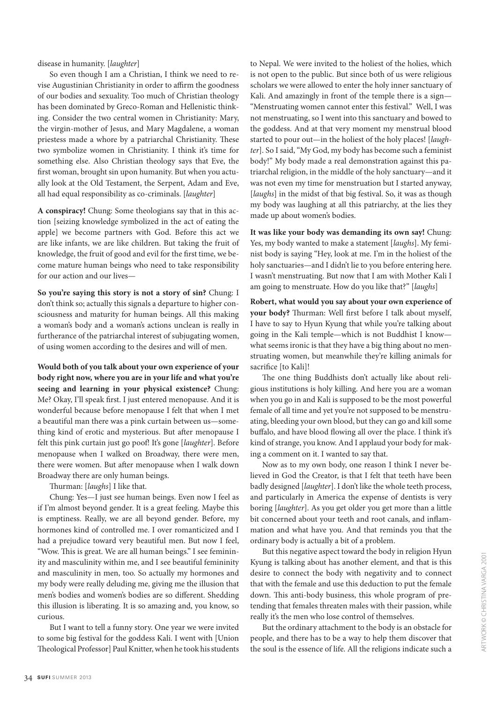disease in humanity. [*laughter*]

So even though I am a Christian, I think we need to revise Augustinian Christianity in order to affirm the goodness of our bodies and sexuality. Too much of Christian theology has been dominated by Greco-Roman and Hellenistic thinking. Consider the two central women in Christianity: Mary, the virgin-mother of Jesus, and Mary Magdalene, a woman priestess made a whore by a patriarchal Christianity. These two symbolize women in Christianity. I think it's time for something else. Also Christian theology says that Eve, the first woman, brought sin upon humanity. But when you actually look at the Old Testament, the Serpent, Adam and Eve, all had equal responsibility as co-criminals. [*laughter*]

**A conspiracy!** Chung: Some theologians say that in this action [seizing knowledge symbolized in the act of eating the apple] we become partners with God. Before this act we are like infants, we are like children. But taking the fruit of knowledge, the fruit of good and evil for the first time, we become mature human beings who need to take responsibility for our action and our lives—

**So you're saying this story is not a story of sin?** Chung: I don't think so; actually this signals a departure to higher consciousness and maturity for human beings. All this making a woman's body and a woman's actions unclean is really in furtherance of the patriarchal interest of subjugating women, of using women according to the desires and will of men.

**Would both of you talk about your own experience of your body right now, where you are in your life and what you're seeing and learning in your physical existence?** Chung: Me? Okay, I'll speak first. I just entered menopause. And it is wonderful because before menopause I felt that when I met a beautiful man there was a pink curtain between us—something kind of erotic and mysterious. But after menopause I felt this pink curtain just go poof! It's gone [*laughter*]. Before menopause when I walked on Broadway, there were men, there were women. But after menopause when I walk down Broadway there are only human beings.

Thurman: [laughs] I like that.

Chung: Yes—I just see human beings. Even now I feel as if I'm almost beyond gender. It is a great feeling. Maybe this is emptiness. Really, we are all beyond gender. Before, my hormones kind of controlled me. I over romanticized and I had a prejudice toward very beautiful men. But now I feel, "Wow. This is great. We are all human beings." I see femininity and masculinity within me, and I see beautiful femininity and masculinity in men, too. So actually my hormones and my body were really deluding me, giving me the illusion that men's bodies and women's bodies are so different. Shedding this illusion is liberating. It is so amazing and, you know, so curious.

But I want to tell a funny story. One year we were invited to some big festival for the goddess Kali. I went with [Union Theological Professor] Paul Knitter, when he took his students to Nepal. We were invited to the holiest of the holies, which is not open to the public. But since both of us were religious scholars we were allowed to enter the holy inner sanctuary of Kali. And amazingly in front of the temple there is a sign— "Menstruating women cannot enter this festival." Well, I was not menstruating, so I went into this sanctuary and bowed to the goddess. And at that very moment my menstrual blood started to pour out—in the holiest of the holy places! [*laughter*]. So I said, "My God, my body has become such a feminist body!" My body made a real demonstration against this patriarchal religion, in the middle of the holy sanctuary—and it was not even my time for menstruation but I started anyway, [*laughs*] in the midst of that big festival. So, it was as though my body was laughing at all this patriarchy, at the lies they made up about women's bodies.

**It was like your body was demanding its own say!** Chung: Yes, my body wanted to make a statement [*laughs*]. My feminist body is saying "Hey, look at me. I'm in the holiest of the holy sanctuaries—and I didn't lie to you before entering here. I wasn't menstruating. But now that I am with Mother Kali I am going to menstruate. How do you like that?" [*laughs*]

**Robert, what would you say about your own experience of your body?** Thurman: Well first before I talk about myself, I have to say to Hyun Kyung that while you're talking about going in the Kali temple—which is not Buddhist I know what seems ironic is that they have a big thing about no menstruating women, but meanwhile they're killing animals for sacrifice [to Kali]!

The one thing Buddhists don't actually like about religious institutions is holy killing. And here you are a woman when you go in and Kali is supposed to be the most powerful female of all time and yet you're not supposed to be menstruating, bleeding your own blood, but they can go and kill some buffalo, and have blood flowing all over the place. I think it's kind of strange, you know. And I applaud your body for making a comment on it. I wanted to say that.

Now as to my own body, one reason I think I never believed in God the Creator, is that I felt that teeth have been badly designed [*laughter*]. I don't like the whole teeth process, and particularly in America the expense of dentists is very boring [*laughter*]. As you get older you get more than a little bit concerned about your teeth and root canals, and inflammation and what have you. And that reminds you that the ordinary body is actually a bit of a problem.

But this negative aspect toward the body in religion Hyun Kyung is talking about has another element, and that is this desire to connect the body with negativity and to connect that with the female and use this deduction to put the female down. This anti-body business, this whole program of pretending that females threaten males with their passion, while really it's the men who lose control of themselves.

But the ordinary attachment to the body is an obstacle for people, and there has to be a way to help them discover that the soul is the essence of life. All the religions indicate such a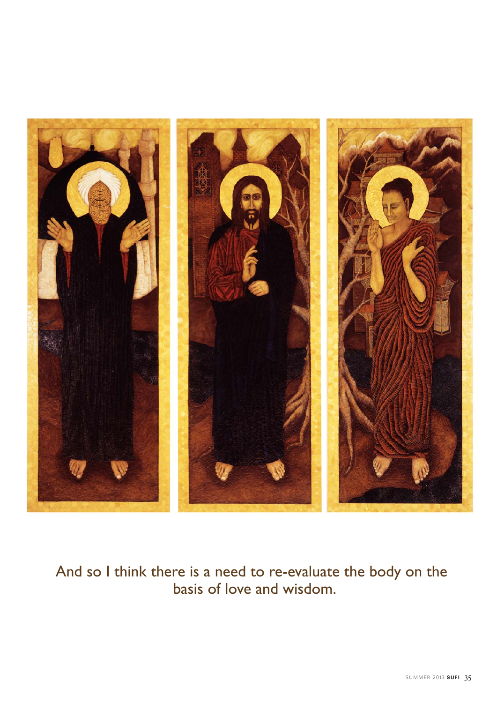

And so I think there is a need to re-evaluate the body on the basis of love and wisdom.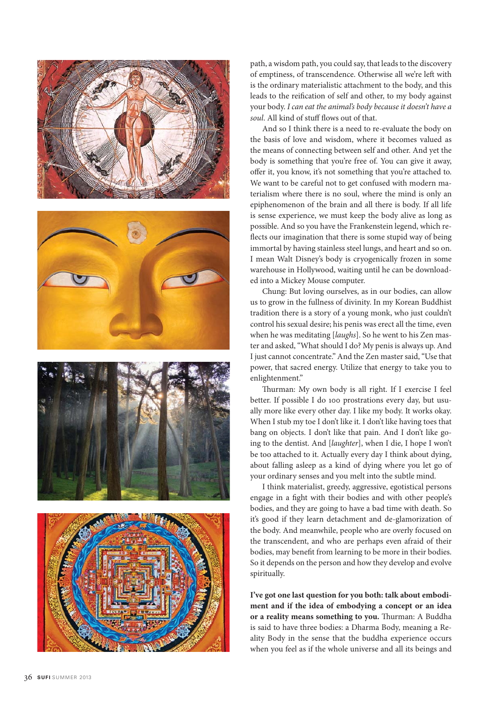







path, a wisdom path, you could say, that leads to the discovery of emptiness, of transcendence. Otherwise all we're left with is the ordinary materialistic attachment to the body, and this leads to the reification of self and other, to my body against your body. *I can eat the animal's body because it doesn't have a*  soul. All kind of stuff flows out of that.

And so I think there is a need to re-evaluate the body on the basis of love and wisdom, where it becomes valued as the means of connecting between self and other. And yet the body is something that you're free of. You can give it away, offer it, you know, it's not something that you're attached to. We want to be careful not to get confused with modern materialism where there is no soul, where the mind is only an epiphenomenon of the brain and all there is body. If all life is sense experience, we must keep the body alive as long as possible. And so you have the Frankenstein legend, which re flects our imagination that there is some stupid way of being immortal by having stainless steel lungs, and heart and so on. I mean Walt Disney's body is cryogenically frozen in some warehouse in Hollywood, waiting until he can be downloaded into a Mickey Mouse computer.

Chung: But loving ourselves, as in our bodies, can allow us to grow in the fullness of divinity. In my Korean Buddhist tradition there is a story of a young monk, who just couldn't control his sexual desire; his penis was erect all the time, even when he was meditating [*laughs*]. So he went to his Zen master and asked, "What should I do? My penis is always up. And I just cannot concentrate." And the Zen master said, "Use that power, that sacred energy. Utilize that energy to take you to enlightenment."

Thurman: My own body is all right. If I exercise I feel better. If possible I do 100 prostrations every day, but usually more like every other day. I like my body. It works okay. When I stub my toe I don't like it. I don't like having toes that bang on objects. I don't like that pain. And I don't like going to the dentist. And [*laughter*], when I die, I hope I won't be too attached to it. Actually every day I think about dying, about falling asleep as a kind of dying where you let go of your ordinary senses and you melt into the subtle mind.

I think materialist, greedy, aggressive, egotistical persons engage in a fight with their bodies and with other people's bodies, and they are going to have a bad time with death. So it's good if they learn detachment and de-glamorization of the body. And meanwhile, people who are overly focused on the transcendent, and who are perhaps even afraid of their bodies, may benefit from learning to be more in their bodies. So it depends on the person and how they develop and evolve spiritually.

**I've got one last question for you both: talk about embodiment and if the idea of embodying a concept or an idea**  or a reality means something to you. Thurman: A Buddha is said to have three bodies: a Dharma Body, meaning a Reality Body in the sense that the buddha experience occurs when you feel as if the whole universe and all its beings and